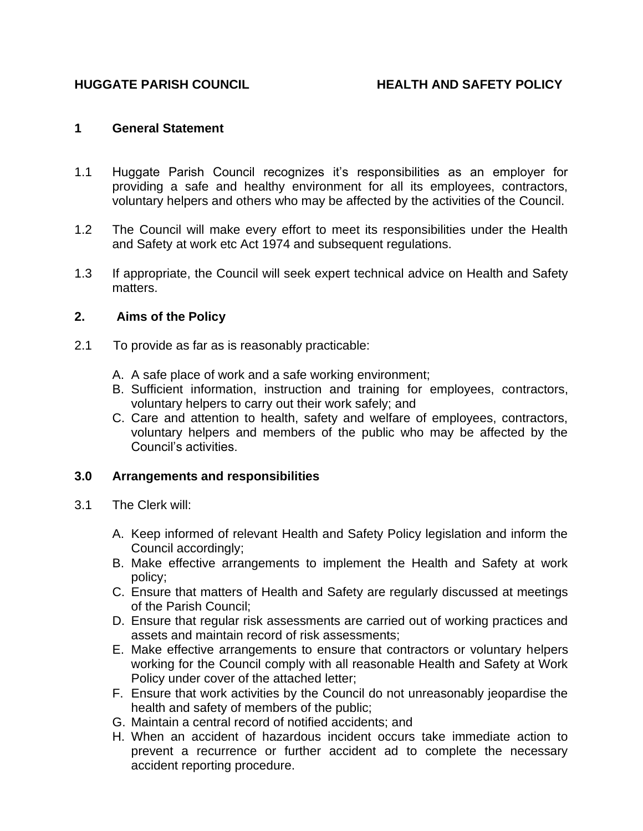# **HUGGATE PARISH COUNCIL HEALTH AND SAFETY POLICY**

### **1 General Statement**

- 1.1 Huggate Parish Council recognizes it's responsibilities as an employer for providing a safe and healthy environment for all its employees, contractors, voluntary helpers and others who may be affected by the activities of the Council.
- 1.2 The Council will make every effort to meet its responsibilities under the Health and Safety at work etc Act 1974 and subsequent regulations.
- 1.3 If appropriate, the Council will seek expert technical advice on Health and Safety matters.

### **2. Aims of the Policy**

- 2.1 To provide as far as is reasonably practicable:
	- A. A safe place of work and a safe working environment;
	- B. Sufficient information, instruction and training for employees, contractors, voluntary helpers to carry out their work safely; and
	- C. Care and attention to health, safety and welfare of employees, contractors, voluntary helpers and members of the public who may be affected by the Council's activities.

## **3.0 Arrangements and responsibilities**

- 3.1 The Clerk will:
	- A. Keep informed of relevant Health and Safety Policy legislation and inform the Council accordingly;
	- B. Make effective arrangements to implement the Health and Safety at work policy;
	- C. Ensure that matters of Health and Safety are regularly discussed at meetings of the Parish Council;
	- D. Ensure that regular risk assessments are carried out of working practices and assets and maintain record of risk assessments;
	- E. Make effective arrangements to ensure that contractors or voluntary helpers working for the Council comply with all reasonable Health and Safety at Work Policy under cover of the attached letter;
	- F. Ensure that work activities by the Council do not unreasonably jeopardise the health and safety of members of the public;
	- G. Maintain a central record of notified accidents; and
	- H. When an accident of hazardous incident occurs take immediate action to prevent a recurrence or further accident ad to complete the necessary accident reporting procedure.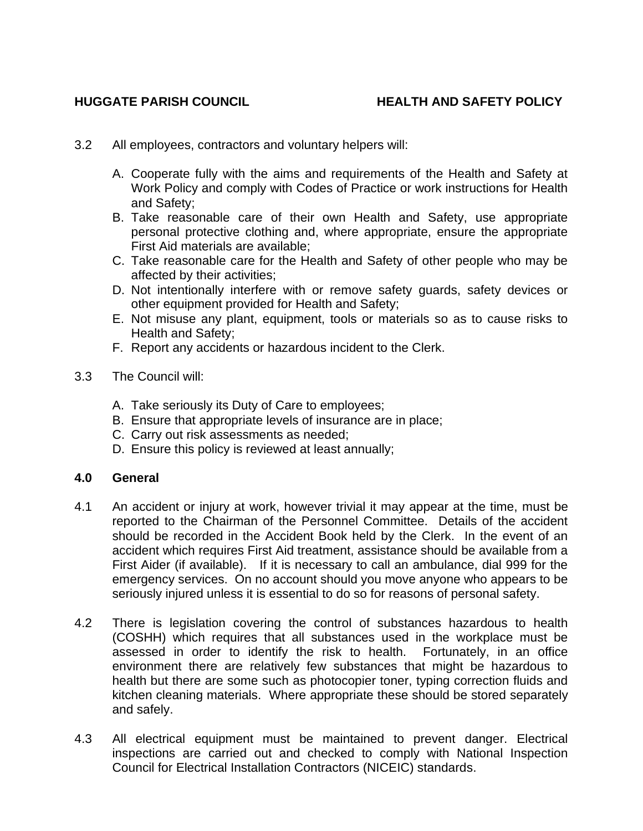# **HUGGATE PARISH COUNCIL HEALTH AND SAFETY POLICY**

- 3.2 All employees, contractors and voluntary helpers will:
	- A. Cooperate fully with the aims and requirements of the Health and Safety at Work Policy and comply with Codes of Practice or work instructions for Health and Safety;
	- B. Take reasonable care of their own Health and Safety, use appropriate personal protective clothing and, where appropriate, ensure the appropriate First Aid materials are available;
	- C. Take reasonable care for the Health and Safety of other people who may be affected by their activities;
	- D. Not intentionally interfere with or remove safety guards, safety devices or other equipment provided for Health and Safety;
	- E. Not misuse any plant, equipment, tools or materials so as to cause risks to Health and Safety;
	- F. Report any accidents or hazardous incident to the Clerk.
- 3.3 The Council will:
	- A. Take seriously its Duty of Care to employees;
	- B. Ensure that appropriate levels of insurance are in place;
	- C. Carry out risk assessments as needed;
	- D. Ensure this policy is reviewed at least annually;

#### **4.0 General**

- 4.1 An accident or injury at work, however trivial it may appear at the time, must be reported to the Chairman of the Personnel Committee. Details of the accident should be recorded in the Accident Book held by the Clerk. In the event of an accident which requires First Aid treatment, assistance should be available from a First Aider (if available). If it is necessary to call an ambulance, dial 999 for the emergency services. On no account should you move anyone who appears to be seriously injured unless it is essential to do so for reasons of personal safety.
- 4.2 There is legislation covering the control of substances hazardous to health (COSHH) which requires that all substances used in the workplace must be assessed in order to identify the risk to health. Fortunately, in an office environment there are relatively few substances that might be hazardous to health but there are some such as photocopier toner, typing correction fluids and kitchen cleaning materials. Where appropriate these should be stored separately and safely.
- 4.3 All electrical equipment must be maintained to prevent danger. Electrical inspections are carried out and checked to comply with National Inspection Council for Electrical Installation Contractors (NICEIC) standards.